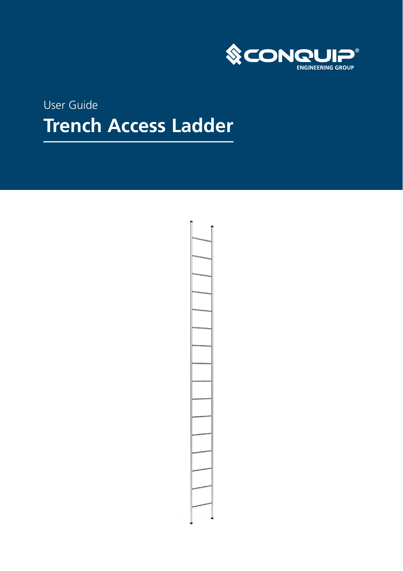

# User Guide **Trench Access Ladder**

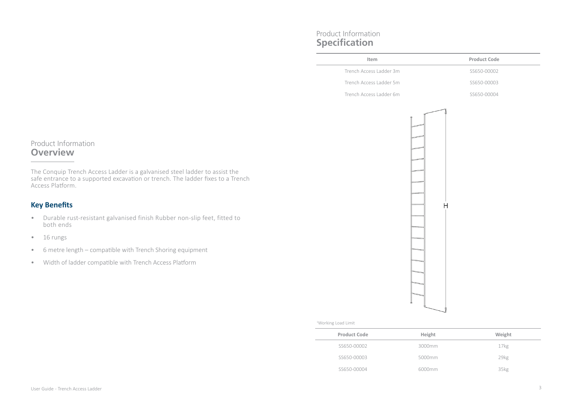# Product Information **Specification**

| Product Code<br>Item<br>Trench Access Ladder 3m<br>SS650-00002<br>Trench Access Ladder 5m<br>SS650-00003<br>Trench Access Ladder 6m<br>SS650-00004 | Н |  |  |
|----------------------------------------------------------------------------------------------------------------------------------------------------|---|--|--|
|                                                                                                                                                    |   |  |  |
|                                                                                                                                                    |   |  |  |
|                                                                                                                                                    |   |  |  |
|                                                                                                                                                    |   |  |  |
|                                                                                                                                                    |   |  |  |

# Product Information **Overview**

The Conquip Trench Access Ladder is a galvanised steel ladder to assist the safe entrance to a supported excavation or trench. The ladder fixes to a Trench Access Platform.

## **Key Benefits**

- Durable rust-resistant galvanised finish Rubber non-slip feet, fitted to both ends
- 16 rungs
- 6 metre length compatible with Trench Shoring equipment
- Width of ladder compatible with Trench Access Platform

#### 1 Working Load Limit

| <b>Product Code</b> | Height | Weight           |
|---------------------|--------|------------------|
| SS650-00002         | 3000mm | 17 <sub>kg</sub> |
| SS650-00003         | 5000mm | 29 <sub>kg</sub> |
| SS650-00004         | 6000mm | 35kg             |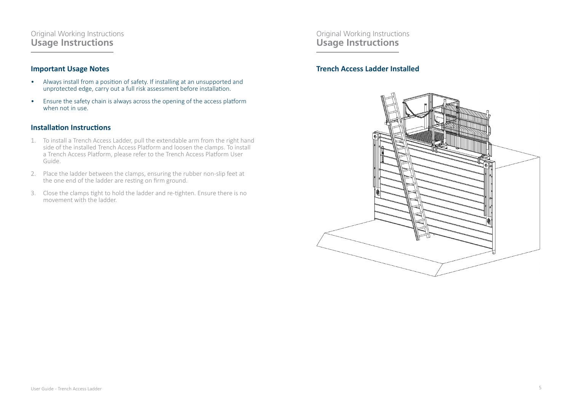### Original Working Instructions **Usage Instructions**

### **Important Usage Notes**

- Always install from a position of safety. If installing at an unsupported and unprotected edge, carry out a full risk assessment before installation.
- Ensure the safety chain is always across the opening of the access platform when not in use.

### **Installation Instructions**

- 1. To install a Trench Access Ladder, pull the extendable arm from the right hand side of the installed Trench Access Platform and loosen the clamps. To install a Trench Access Platform, please refer to the Trench Access Platform User Guide.
- 2. Place the ladder between the clamps, ensuring the rubber non-slip feet at the one end of the ladder are resting on firm ground.
- 3. Close the clamps tight to hold the ladder and re-tighten. Ensure there is no movement with the ladder.

Original Working Instructions **Usage Instructions** 

### **Trench Access Ladder Installed**

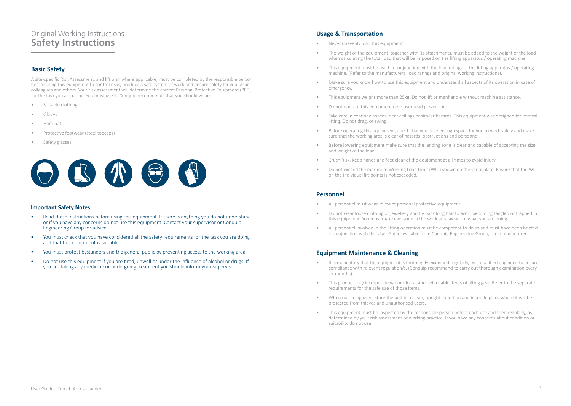# Original Working Instructions **Safety Instructions**

### **Basic Safety**

A site-specific Risk Assessment, and lift plan where applicable, must be completed by the responsible person before using this equipment to control risks, produce a safe system of work and ensure safety for you, your colleagues and others. Your risk assessment will determine the correct Personal Protective Equipment (PPE) for the task you are doing. You must use it. Conquip recommends that you should wear:

- Suitable clothing
- Gloves
- Hard hat
- Protective footwear (steel toecaps)
- Safety glasses



#### **Important Safety Notes**

- Read these instructions before using this equipment. If there is anything you do not understand or if you have any concerns do not use this equipment. Contact your supervisor or Conquip Engineering Group for advice.
- You must check that you have considered all the safety requirements for the task you are doing and that this equipment is suitable.
- You must protect bystanders and the general public by preventing access to the working area.
- Do not use this equipment if you are tired, unwell or under the influence of alcohol or drugs. If you are taking any medicine or undergoing treatment you should inform your supervisor.

### **Usage & Transportation**

- Never unevenly load this equipment.
- The weight of the equipment, together with its attachments, must be added to the weight of the load when calculating the total load that will be imposed on the lifting apparatus / operating machine.
- This equipment must be used in conjunction with the load ratings of the lifting apparatus / operating machine. (Refer to the manufacturers' load ratings and original working instructions).
- Make sure you know how to use this equipment and understand all aspects of its operation in case of emergency.
- This equipment weighs more than 25kg. Do not lift or manhandle without machine assistance.
- Do not operate this equipment near overhead power lines.
- Take care in confined spaces, near ceilings or similar hazards. This equipment was designed for vertical lifting. Do not drag, or swing.
- Before operating this equipment, check that you have enough space for you to work safely and make sure that the working area is clear of hazards, obstructions and personnel.
- Before lowering equipment make sure that the landing zone is clear and capable of accepting the size and weight of the load.
- Crush Risk. Keep hands and feet clear of the equipment at all times to avoid injury.
- Do not exceed the maximum Working Load Limit (WLL) shown on the serial plate. Ensure that the WLL on the individual lift points is not exceeded.

#### **Personnel**

- All personnel must wear relevant personal protective equipment.
- Do not wear loose clothing or jewellery and tie back long hair to avoid becoming tangled or trapped in this equipment. You must make everyone in the work area aware of what you are doing.
- All personnel involved in the lifting operation must be competent to do so and must have been briefed in conjunction with this User Guide available from Conquip Engineering Group, the manufacturer.

#### **Equipment Maintenance & Cleaning**

- It is mandatory that the equipment is thoroughly examined regularly, by a qualified engineer, to ensure compliance with relevant regulation/s. (Conquip recommend to carry out thorough examination every six months).
- This product may incorporate various loose and detachable items of lifting gear. Refer to the separate requirements for the safe use of those items.
- When not being used, store the unit in a clean, upright condition and in a safe place where it will be protected from thieves and unauthorised users.
- This equipment must be inspected by the responsible person before each use and then regularly, as determined by your risk assessment or working practice. If you have any concerns about condition or suitability do not use.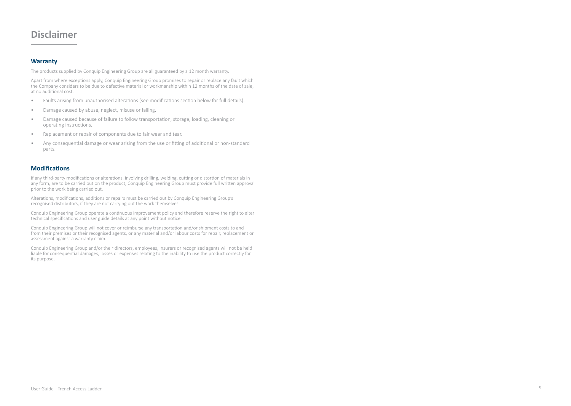# **Disclaimer**

#### **Warranty**

The products supplied by Conquip Engineering Group are all guaranteed by a 12 month warranty.

Apart from where exceptions apply, Conquip Engineering Group promises to repair or replace any fault which the Company considers to be due to defective material or workmanship within 12 months of the date of sale, at no additional cost.

- Faults arising from unauthorised alterations (see modifications section below for full details).
- Damage caused by abuse, neglect, misuse or falling.
- Damage caused because of failure to follow transportation, storage, loading, cleaning or operating instructions.
- Replacement or repair of components due to fair wear and tear.
- Any consequential damage or wear arising from the use or fitting of additional or non-standard parts.

#### **Modifications**

If any third-party modifications or alterations, involving drilling, welding, cutting or distortion of materials in any form, are to be carried out on the product, Conquip Engineering Group must provide full written approval prior to the work being carried out.

Alterations, modifications, additions or repairs must be carried out by Conquip Engineering Group's recognised distributors, if they are not carrying out the work themselves.

Conquip Engineering Group operate a continuous improvement policy and therefore reserve the right to alter technical specifications and user guide details at any point without notice.

Conquip Engineering Group will not cover or reimburse any transportation and/or shipment costs to and from their premises or their recognised agents, or any material and/or labour costs for repair, replacement or assessment against a warranty claim.

Conquip Engineering Group and/or their directors, employees, insurers or recognised agents will not be held liable for consequential damages, losses or expenses relating to the inability to use the product correctly for its purpose.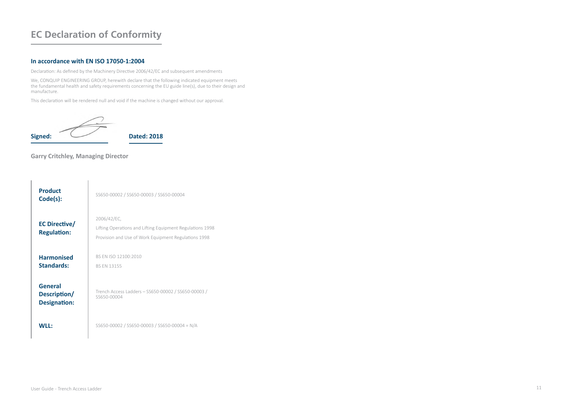# **EC Declaration of Conformity**

#### **In accordance with EN ISO 17050-1:2004**

Declaration: As defined by the Machinery Directive 2006/42/EC and subsequent amendments

We, CONQUIP ENGINEERING GROUP, herewith declare that the following indicated equipment meets the fundamental health and safety requirements concerning the EU guide line(s), due to their design and manufacture.

This declaration will be rendered null and void if the machine is changed without our approval.

$$
Signed: \overbrace{\hspace{1.5cm}}^{3}
$$
 
$$
Dated: 2018
$$

### **Garry Critchley, Managing Director**

| <b>Product</b><br>Code(s):                     | SS650-00002 / SS650-00003 / SS650-00004                                                                                          |
|------------------------------------------------|----------------------------------------------------------------------------------------------------------------------------------|
| EC Directive/<br><b>Regulation:</b>            | 2006/42/EC,<br>Lifting Operations and Lifting Equipment Regulations 1998<br>Provision and Use of Work Equipment Regulations 1998 |
| <b>Harmonised</b><br><b>Standards:</b>         | BS FN ISO 12100:2010<br><b>BS FN 13155</b>                                                                                       |
| General<br>Description/<br><b>Designation:</b> | Trench Access Ladders - SS650-00002 / SS650-00003 /<br>SS650-00004                                                               |
| <b>WII</b> .                                   | SS650-00002 / SS650-00003 / SS650-00004 = N/A                                                                                    |